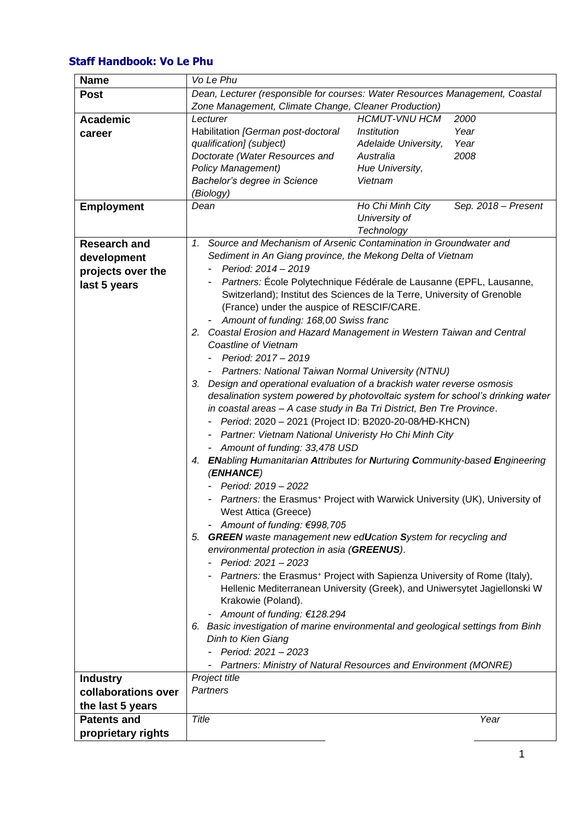## **Staff Handbook: Vo Le Phu**

| <b>Name</b>         | Vo Le Phu                                                                                  |                                                                                        |  |
|---------------------|--------------------------------------------------------------------------------------------|----------------------------------------------------------------------------------------|--|
| <b>Post</b>         | Dean, Lecturer (responsible for courses: Water Resources Management, Coastal               |                                                                                        |  |
|                     | Zone Management, Climate Change, Cleaner Production)                                       |                                                                                        |  |
| <b>Academic</b>     | Lecturer                                                                                   | <b>HCMUT-VNU HCM</b><br>2000                                                           |  |
| career              | Habilitation [German post-doctoral                                                         | Institution<br>Year                                                                    |  |
|                     | qualification] (subject)                                                                   | Year<br>Adelaide University,                                                           |  |
|                     | Doctorate (Water Resources and                                                             | 2008<br>Australia                                                                      |  |
|                     | <b>Policy Management)</b>                                                                  | Hue University,                                                                        |  |
|                     | Bachelor's degree in Science                                                               | Vietnam                                                                                |  |
|                     | (Biology)                                                                                  |                                                                                        |  |
| <b>Employment</b>   | Dean                                                                                       | Ho Chi Minh City<br>Sep. 2018 - Present                                                |  |
|                     |                                                                                            | University of                                                                          |  |
|                     |                                                                                            | Technology                                                                             |  |
| <b>Research and</b> | 1. Source and Mechanism of Arsenic Contamination in Groundwater and                        |                                                                                        |  |
| development         | Sediment in An Giang province, the Mekong Delta of Vietnam                                 |                                                                                        |  |
| projects over the   | Period: 2014 - 2019                                                                        |                                                                                        |  |
| last 5 years        |                                                                                            | Partners: École Polytechnique Fédérale de Lausanne (EPFL, Lausanne,                    |  |
|                     |                                                                                            | Switzerland); Institut des Sciences de la Terre, University of Grenoble                |  |
|                     | (France) under the auspice of RESCIF/CARE.                                                 |                                                                                        |  |
|                     | Amount of funding: 168,00 Swiss franc                                                      |                                                                                        |  |
|                     | 2. Coastal Erosion and Hazard Management in Western Taiwan and Central                     |                                                                                        |  |
|                     | <b>Coastline of Vietnam</b>                                                                |                                                                                        |  |
|                     | Period: 2017 - 2019                                                                        |                                                                                        |  |
|                     | - Partners: National Taiwan Normal University (NTNU)                                       |                                                                                        |  |
|                     | Design and operational evaluation of a brackish water reverse osmosis<br>З.                |                                                                                        |  |
|                     |                                                                                            | desalination system powered by photovoltaic system for school's drinking water         |  |
|                     | in coastal areas - A case study in Ba Tri District, Ben Tre Province.                      |                                                                                        |  |
|                     | - Period: 2020 - 2021 (Project ID: B2020-20-08/HD-KHCN)                                    |                                                                                        |  |
|                     | - Partner: Vietnam National Univeristy Ho Chi Minh City                                    |                                                                                        |  |
|                     | - Amount of funding: 33,478 USD                                                            |                                                                                        |  |
|                     | 4. ENabling Humanitarian Attributes for Nurturing Community-based Engineering<br>(ENHANCE) |                                                                                        |  |
|                     | Period: 2019 - 2022                                                                        |                                                                                        |  |
|                     | Partners: the Erasmus <sup>+</sup> Project with Warwick University (UK), University of     |                                                                                        |  |
|                     | West Attica (Greece)                                                                       |                                                                                        |  |
|                     | Amount of funding: €998,705                                                                |                                                                                        |  |
|                     | 5. GREEN waste management new edUcation System for recycling and                           |                                                                                        |  |
|                     | environmental protection in asia (GREENUS).                                                |                                                                                        |  |
|                     | Period: 2021 - 2023                                                                        |                                                                                        |  |
|                     |                                                                                            | - Partners: the Erasmus <sup>+</sup> Project with Sapienza University of Rome (Italy), |  |
|                     |                                                                                            | Hellenic Mediterranean University (Greek), and Uniwersytet Jagiellonski W              |  |
|                     | Krakowie (Poland).                                                                         |                                                                                        |  |
|                     | Amount of funding: €128.294                                                                |                                                                                        |  |
|                     |                                                                                            | 6. Basic investigation of marine environmental and geological settings from Binh       |  |
|                     | Dinh to Kien Giang                                                                         |                                                                                        |  |
|                     | Period: 2021 - 2023                                                                        |                                                                                        |  |
|                     |                                                                                            | Partners: Ministry of Natural Resources and Environment (MONRE)                        |  |
| <b>Industry</b>     | Project title                                                                              |                                                                                        |  |
| collaborations over | Partners                                                                                   |                                                                                        |  |
| the last 5 years    |                                                                                            |                                                                                        |  |
| <b>Patents and</b>  | Title                                                                                      | Year                                                                                   |  |
| proprietary rights  |                                                                                            |                                                                                        |  |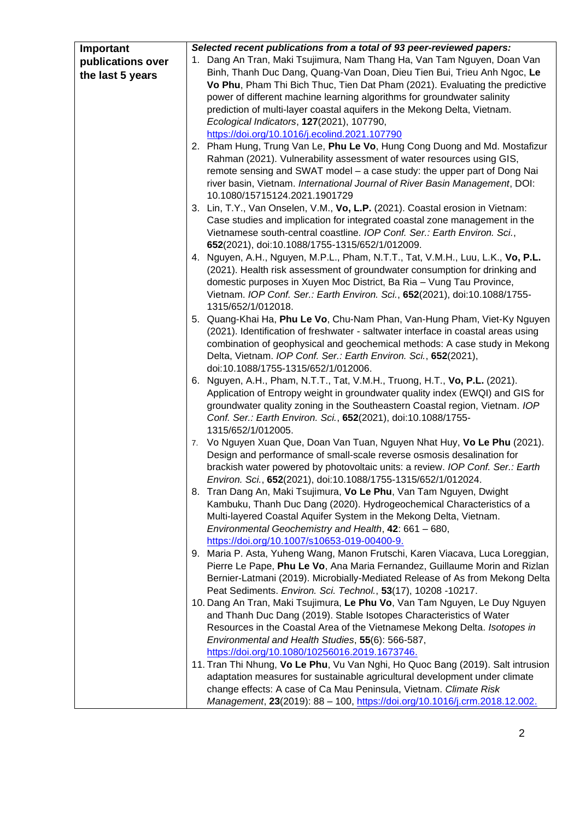| Important         | Selected recent publications from a total of 93 peer-reviewed papers:                                                                                   |  |  |
|-------------------|---------------------------------------------------------------------------------------------------------------------------------------------------------|--|--|
| publications over | 1. Dang An Tran, Maki Tsujimura, Nam Thang Ha, Van Tam Nguyen, Doan Van                                                                                 |  |  |
| the last 5 years  | Binh, Thanh Duc Dang, Quang-Van Doan, Dieu Tien Bui, Trieu Anh Ngoc, Le                                                                                 |  |  |
|                   | Vo Phu, Pham Thi Bich Thuc, Tien Dat Pham (2021). Evaluating the predictive                                                                             |  |  |
|                   | power of different machine learning algorithms for groundwater salinity                                                                                 |  |  |
|                   | prediction of multi-layer coastal aquifers in the Mekong Delta, Vietnam.                                                                                |  |  |
|                   | Ecological Indicators, 127(2021), 107790,                                                                                                               |  |  |
|                   | https://doi.org/10.1016/j.ecolind.2021.107790                                                                                                           |  |  |
|                   | 2. Pham Hung, Trung Van Le, Phu Le Vo, Hung Cong Duong and Md. Mostafizur                                                                               |  |  |
|                   | Rahman (2021). Vulnerability assessment of water resources using GIS,                                                                                   |  |  |
|                   | remote sensing and SWAT model - a case study: the upper part of Dong Nai                                                                                |  |  |
|                   | river basin, Vietnam. International Journal of River Basin Management, DOI:                                                                             |  |  |
|                   | 10.1080/15715124.2021.1901729                                                                                                                           |  |  |
|                   | 3. Lin, T.Y., Van Onselen, V.M., Vo, L.P. (2021). Coastal erosion in Vietnam:                                                                           |  |  |
|                   | Case studies and implication for integrated coastal zone management in the                                                                              |  |  |
|                   | Vietnamese south-central coastline. IOP Conf. Ser.: Earth Environ. Sci.,                                                                                |  |  |
|                   | 652(2021), doi:10.1088/1755-1315/652/1/012009.                                                                                                          |  |  |
|                   | 4. Nguyen, A.H., Nguyen, M.P.L., Pham, N.T.T., Tat, V.M.H., Luu, L.K., Vo, P.L.                                                                         |  |  |
|                   | (2021). Health risk assessment of groundwater consumption for drinking and                                                                              |  |  |
|                   | domestic purposes in Xuyen Moc District, Ba Ria - Vung Tau Province,                                                                                    |  |  |
|                   | Vietnam. IOP Conf. Ser.: Earth Environ. Sci., 652(2021), doi:10.1088/1755-                                                                              |  |  |
|                   | 1315/652/1/012018.                                                                                                                                      |  |  |
|                   | 5. Quang-Khai Ha, Phu Le Vo, Chu-Nam Phan, Van-Hung Pham, Viet-Ky Nguyen                                                                                |  |  |
|                   | (2021). Identification of freshwater - saltwater interface in coastal areas using                                                                       |  |  |
|                   | combination of geophysical and geochemical methods: A case study in Mekong                                                                              |  |  |
|                   | Delta, Vietnam. IOP Conf. Ser.: Earth Environ. Sci., 652(2021),                                                                                         |  |  |
|                   | doi:10.1088/1755-1315/652/1/012006.                                                                                                                     |  |  |
|                   | 6. Nguyen, A.H., Pham, N.T.T., Tat, V.M.H., Truong, H.T., Vo, P.L. (2021).                                                                              |  |  |
|                   | Application of Entropy weight in groundwater quality index (EWQI) and GIS for                                                                           |  |  |
|                   | groundwater quality zoning in the Southeastern Coastal region, Vietnam. IOP                                                                             |  |  |
|                   | Conf. Ser.: Earth Environ. Sci., 652(2021), doi:10.1088/1755-                                                                                           |  |  |
|                   | 1315/652/1/012005.                                                                                                                                      |  |  |
|                   | 7. Vo Nguyen Xuan Que, Doan Van Tuan, Nguyen Nhat Huy, Vo Le Phu (2021).                                                                                |  |  |
|                   | Design and performance of small-scale reverse osmosis desalination for<br>brackish water powered by photovoltaic units: a review. IOP Conf. Ser.: Earth |  |  |
|                   | Environ. Sci., 652(2021), doi:10.1088/1755-1315/652/1/012024.                                                                                           |  |  |
|                   | 8. Tran Dang An, Maki Tsujimura, Vo Le Phu, Van Tam Nguyen, Dwight                                                                                      |  |  |
|                   | Kambuku, Thanh Duc Dang (2020). Hydrogeochemical Characteristics of a                                                                                   |  |  |
|                   | Multi-layered Coastal Aquifer System in the Mekong Delta, Vietnam.                                                                                      |  |  |
|                   | Environmental Geochemistry and Health, 42: 661 - 680,                                                                                                   |  |  |
|                   | https://doi.org/10.1007/s10653-019-00400-9.                                                                                                             |  |  |
|                   | 9. Maria P. Asta, Yuheng Wang, Manon Frutschi, Karen Viacava, Luca Loreggian,                                                                           |  |  |
|                   | Pierre Le Pape, Phu Le Vo, Ana Maria Fernandez, Guillaume Morin and Rizlan                                                                              |  |  |
|                   | Bernier-Latmani (2019). Microbially-Mediated Release of As from Mekong Delta                                                                            |  |  |
|                   | Peat Sediments. Environ. Sci. Technol., 53(17), 10208 -10217.                                                                                           |  |  |
|                   | 10. Dang An Tran, Maki Tsujimura, Le Phu Vo, Van Tam Nguyen, Le Duy Nguyen                                                                              |  |  |
|                   | and Thanh Duc Dang (2019). Stable Isotopes Characteristics of Water                                                                                     |  |  |
|                   | Resources in the Coastal Area of the Vietnamese Mekong Delta. Isotopes in                                                                               |  |  |
|                   | Environmental and Health Studies, 55(6): 566-587,                                                                                                       |  |  |
|                   | https://doi.org/10.1080/10256016.2019.1673746.                                                                                                          |  |  |
|                   | 11. Tran Thi Nhung, Vo Le Phu, Vu Van Nghi, Ho Quoc Bang (2019). Salt intrusion                                                                         |  |  |
|                   | adaptation measures for sustainable agricultural development under climate                                                                              |  |  |
|                   | change effects: A case of Ca Mau Peninsula, Vietnam. Climate Risk                                                                                       |  |  |
|                   | Management, 23(2019): 88 - 100, https://doi.org/10.1016/j.crm.2018.12.002.                                                                              |  |  |